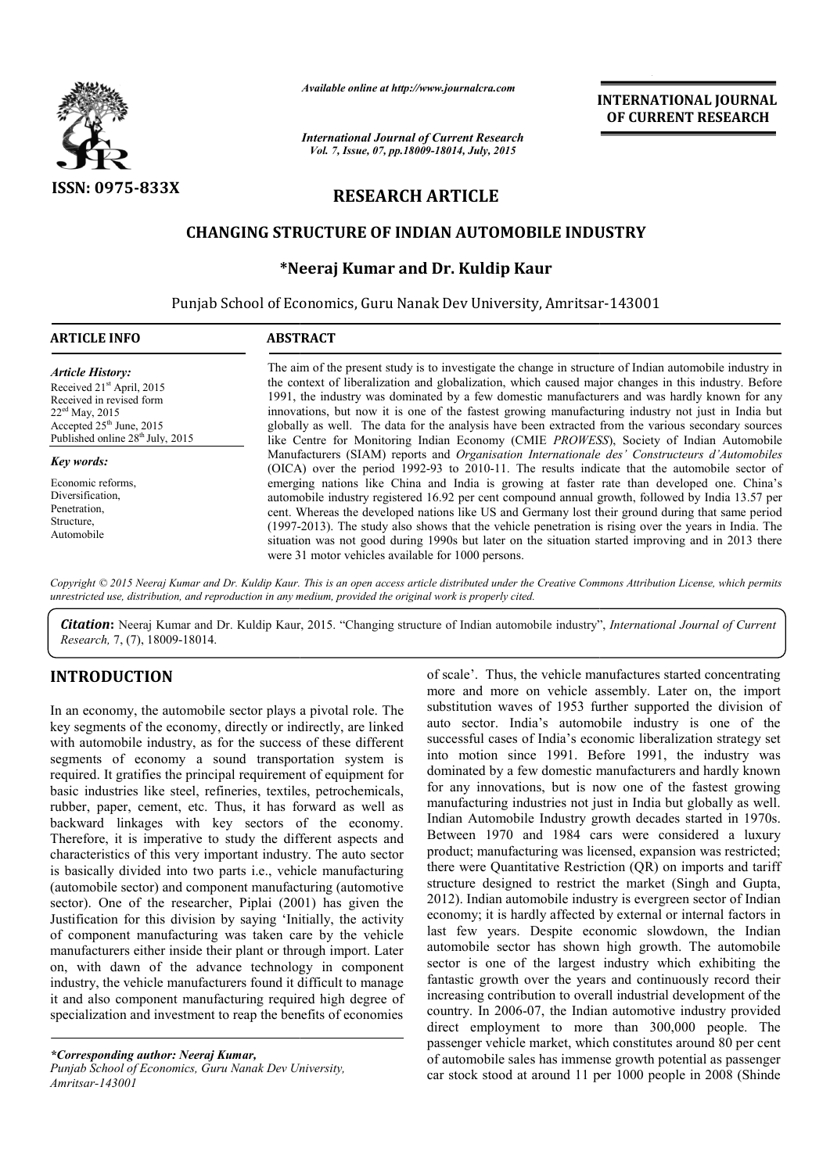

*Available online at http://www.journalcra.com*

*International Journal of Current Research Vol. 7, Issue, 07, pp.18009-18014, July, 2015*

**INTERNATIONAL INTERNATIONAL JOURNAL OF CURRENT RESEARCH** 

# **RESEARCH ARTICLE**

## **CHANGING STRUCTURE OF INDIAN AUTOMOBILE INDUSTRY AUTOMOBILE INDUSTRY**

## **\*Neeraj Kumar and Dr. Kuldip Kaur**

Punjab School of Economics, Guru Nanak Dev University, Amritsar Amritsar-143001

| <b>ARTICLE INFO</b>                                                                                                                                                                            | <b>ABSTRACT</b>                                                                                                                                                                                                                                                                                                                                                                                                                                                                                                                                                                                                                |
|------------------------------------------------------------------------------------------------------------------------------------------------------------------------------------------------|--------------------------------------------------------------------------------------------------------------------------------------------------------------------------------------------------------------------------------------------------------------------------------------------------------------------------------------------------------------------------------------------------------------------------------------------------------------------------------------------------------------------------------------------------------------------------------------------------------------------------------|
| <b>Article History:</b><br>Received 21 <sup>st</sup> April, 2015<br>Received in revised form<br>$22ed$ May, 2015<br>Accepted $25th$ June, 2015<br>Published online 28 <sup>th</sup> July, 2015 | The aim of the present study is to investigate the change in structure of Indian automobile industry in<br>the context of liberalization and globalization, which caused major changes in this industry. Before<br>1991, the industry was dominated by a few domestic manufacturers and was hardly known for any<br>innovations, but now it is one of the fastest growing manufacturing industry not just in India but<br>globally as well. The data for the analysis have been extracted from the various secondary sources<br>like Centre for Monitoring Indian Economy (CMIE <i>PROWESS</i> ), Society of Indian Automobile |
| <b>Key words:</b>                                                                                                                                                                              | Manufacturers (SIAM) reports and <i>Organisation Internationale des' Constructeurs d'Automobiles</i><br>(OICA) over the period 1992-93 to 2010-11. The results indicate that the automobile sector of                                                                                                                                                                                                                                                                                                                                                                                                                          |
| Economic reforms.<br>Diversification.<br>Penetration,<br>Structure.<br>Automobile                                                                                                              | emerging nations like China and India is growing at faster rate than developed one. China's<br>automobile industry registered 16.92 per cent compound annual growth, followed by India 13.57 per<br>cent. Whereas the developed nations like US and Germany lost their ground during that same period<br>(1997-2013). The study also shows that the vehicle penetration is rising over the years in India. The<br>situation was not good during 1990s but later on the situation started improving and in 2013 there<br>were 31 motor vehicles available for 1000 persons.                                                     |

Copyright © 2015 Neeraj Kumar and Dr. Kuldip Kaur. This is an open access article distributed under the Creative Commons Attribution License, which permits *unrestricted use, distribution, and reproduction in any medium, provided the original work is properly cited.*

Citation: Neeraj Kumar and Dr. Kuldip Kaur, 2015. "Changing structure of Indian automobile industry", *International Journal of Current Research,* 7, (7), 18009-18014.

## **INTRODUCTION**

In an economy, the automobile sector plays a pivotal role. The key segments of the economy, directly or indirectly, are linked with automobile industry, as for the success of these different segments of economy a sound transportation system is required. It gratifies the principal requirement of equipment for basic industries like steel, refineries, textiles, petrochemicals, rubber, paper, cement, etc. Thus, it has forward as well as backward linkages with key sectors of the economy. Therefore, it is imperative to study the different aspects and characteristics of this very important industry. The auto sector is basically divided into two parts i.e., vehicle manufacturing (automobile sector) and component manufacturing (automotive sector). One of the researcher, Piplai (2001) has given the Justification for this division by saying 'Initially, the activity of component manufacturing was taken care by the vehicle manufacturers either inside their plant or through import. Later on, with dawn of the advance technology in component industry, the vehicle manufacturers found it difficult to manage it and also component manufacturing required high degree of specialization and investment to reap the benefits of economies

*\*Corresponding author: Neeraj Kumar,*

*Punjab School of Economics, Guru Nanak Dev University, Amritsar-143001*

of scale'. Thus, the vehicle manufactures started concentrating<br>mobile sector plays a pivotal role. The substitution waves of 1953 further supported the division of<br>nomy, directly or indirectly, are linked auto sector. Ind more and more on vehicle assembly. Later on, the import substitution waves of 1953 further supported the division of auto sector. India's automobile industry is one of the successful cases of India's economic liberalization strategy set into motion since 1991. Before 1991, the industry was dominated by a few domestic manufacturers and hardly known for any innovations, but is now one of the fastest growing manufacturing industries not just in India but globally as well. Indian Automobile Industry growth decades started in 1970s. Between 1970 and 1984 cars were considered a luxury product; manufacturing was licensed, expansio there were Quantitative Restriction (QR) on imports and tariff structure designed to restrict the market (Singh and Gupta, 2012). Indian automobile industry is evergreen sector of Indian economy; it is hardly affected by external or internal factors in last few years. Despite economic slowdown, the Indian automobile sector has shown high growth. The automobile sector is one of the largest industry which exhibiting the fantastic growth over the years and continuously record their increasing contribution to overall industrial development of the country. In 2006-07, the Indian automotive industry provided direct employment to more than 300,000 people. The passenger vehicle market, which constitutes around 80 per cent of automobile sales has immense growth potential as passenger car stock stood at around 11 per 1000 people in 2008 (Shinde of scale'. Thus, the vehicle manufactures started concentrating more and more on vehicle assembly. Later on, the import substitution waves of 1953 further supported the division of auto sector. India's automobile industry Ouantitative Restriction (QR) on imports and tariff designed to restrict the market (Singh and Gupta, ian automobile industry is evergreen sector of Indian it is hardly affected by external or internal factors in **EFFRIMATIONAL COURNAL COURNAL COURNAL CONOMIC CONOMIC CONOMIC TRESEARCHED (EVERENT RESEARCHED) (FOR THE TRESEARCHED) (FOR THE TRESEARCHED) (FOR THE TRESEARCHED) (THE TRESEARCHED) (THE TRESEARCHED) (THE TRESEARCHED) (THE**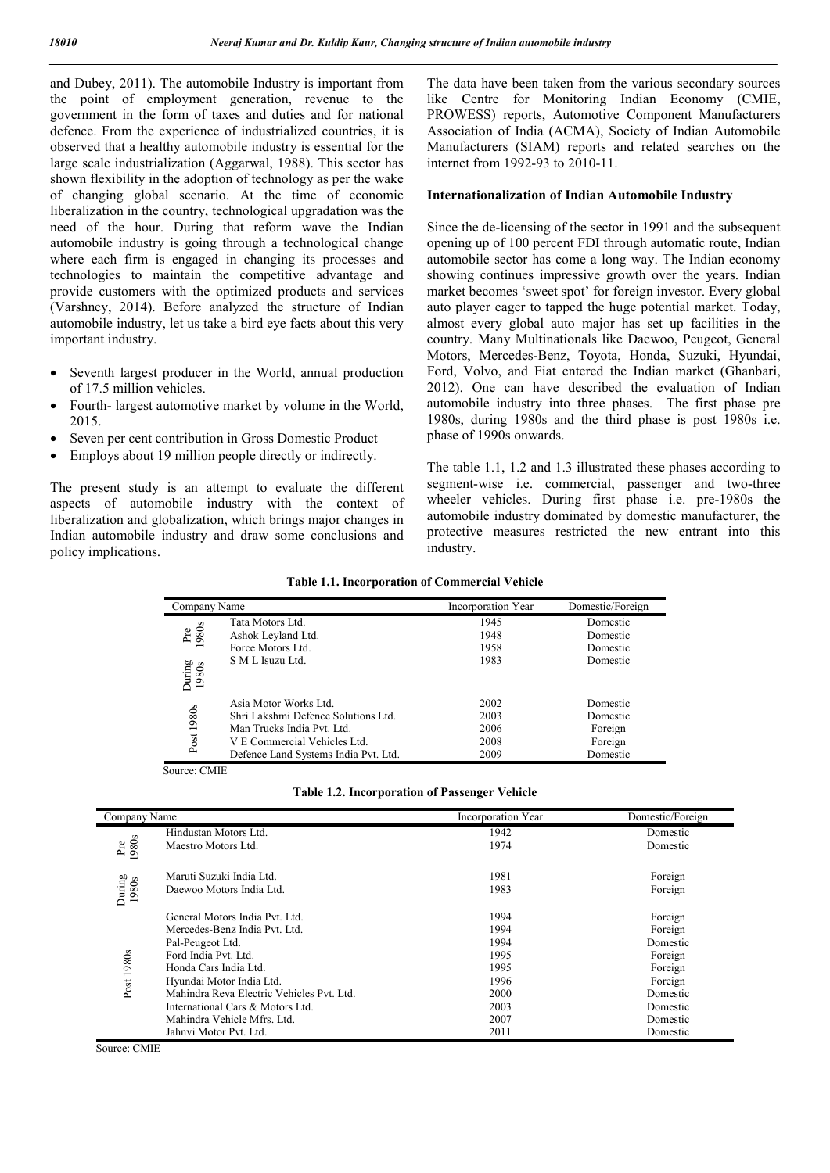and Dubey, 2011). The automobile Industry is important from the point of employment generation, revenue to the government in the form of taxes and duties and for national defence. From the experience of industrialized countries, it is observed that a healthy automobile industry is essential for the large scale industrialization (Aggarwal, 1988). This sector has shown flexibility in the adoption of technology as per the wake of changing global scenario. At the time of economic liberalization in the country, technological upgradation was the need of the hour. During that reform wave the Indian automobile industry is going through a technological change where each firm is engaged in changing its processes and technologies to maintain the competitive advantage and provide customers with the optimized products and services (Varshney, 2014). Before analyzed the structure of Indian automobile industry, let us take a bird eye facts about this very important industry.

- Seventh largest producer in the World, annual production of 17.5 million vehicles.
- Fourth- largest automotive market by volume in the World, 2015.
- Seven per cent contribution in Gross Domestic Product
- Employs about 19 million people directly or indirectly.

The present study is an attempt to evaluate the different aspects of automobile industry with the context of liberalization and globalization, which brings major changes in Indian automobile industry and draw some conclusions and policy implications.

The data have been taken from the various secondary sources like Centre for Monitoring Indian Economy (CMIE, PROWESS) reports, Automotive Component Manufacturers Association of India (ACMA), Society of Indian Automobile Manufacturers (SIAM) reports and related searches on the internet from 1992-93 to 2010-11.

#### **Internationalization of Indian Automobile Industry**

Since the de-licensing of the sector in 1991 and the subsequent opening up of 100 percent FDI through automatic route, Indian automobile sector has come a long way. The Indian economy showing continues impressive growth over the years. Indian market becomes 'sweet spot' for foreign investor. Every global auto player eager to tapped the huge potential market. Today, almost every global auto major has set up facilities in the country. Many Multinationals like Daewoo, Peugeot, General Motors, Mercedes-Benz, Toyota, Honda, Suzuki, Hyundai, Ford, Volvo, and Fiat entered the Indian market (Ghanbari, 2012). One can have described the evaluation of Indian automobile industry into three phases. The first phase pre 1980s, during 1980s and the third phase is post 1980s i.e. phase of 1990s onwards.

The table 1.1, 1.2 and 1.3 illustrated these phases according to segment-wise i.e. commercial, passenger and two-three wheeler vehicles. During first phase i.e. pre-1980s the automobile industry dominated by domestic manufacturer, the protective measures restricted the new entrant into this industry.

| Company Name    |                                      | Incorporation Year | Domestic/Foreign |
|-----------------|--------------------------------------|--------------------|------------------|
|                 | Tata Motors Ltd.                     | 1945               | Domestic         |
| Pre<br>1980s    | Ashok Leyland Ltd.                   | 1948               | Domestic         |
|                 | Force Motors Ltd.                    | 1958               | Domestic         |
| During<br>1980s | S M L Isuzu Ltd.                     | 1983               | Domestic         |
|                 |                                      |                    |                  |
|                 | Asia Motor Works Ltd.                | 2002               | Domestic         |
| 1980s           | Shri Lakshmi Defence Solutions Ltd.  | 2003               | Domestic         |
|                 | Man Trucks India Pvt. Ltd.           | 2006               | Foreign          |
| Post            | V E Commercial Vehicles Ltd.         | 2008               | Foreign          |
|                 | Defence Land Systems India Pvt. Ltd. | 2009               | Domestic         |

Source: CMIE

| <b>Table 1.2. Incorporation of Passenger Vehicle</b> |  |  |
|------------------------------------------------------|--|--|
|------------------------------------------------------|--|--|

| Company Name         |                                           | Incorporation Year | Domestic/Foreign |
|----------------------|-------------------------------------------|--------------------|------------------|
|                      | Hindustan Motors Ltd.                     | 1942               | Domestic         |
| 980s<br>$_{\rm Pre}$ | Maestro Motors Ltd.                       | 1974               | Domestic         |
|                      | Maruti Suzuki India Ltd.                  | 1981               | Foreign          |
| During<br>1980s      | Daewoo Motors India Ltd.                  | 1983               | Foreign          |
|                      | General Motors India Pvt. Ltd.            | 1994               | Foreign          |
|                      | Mercedes-Benz India Pvt. Ltd.             | 1994               | Foreign          |
|                      | Pal-Peugeot Ltd.                          | 1994               | Domestic         |
|                      | Ford India Pvt. Ltd.                      | 1995               | Foreign          |
| Post 1980s           | Honda Cars India Ltd.                     | 1995               | Foreign          |
|                      | Hyundai Motor India Ltd.                  | 1996               | Foreign          |
|                      | Mahindra Reva Electric Vehicles Pvt. Ltd. | 2000               | Domestic         |
|                      | International Cars & Motors Ltd.          | 2003               | Domestic         |
|                      | Mahindra Vehicle Mfrs. Ltd.               | 2007               | Domestic         |
|                      | Jahnvi Motor Pvt. Ltd.                    | 2011               | Domestic         |

Source: CMIE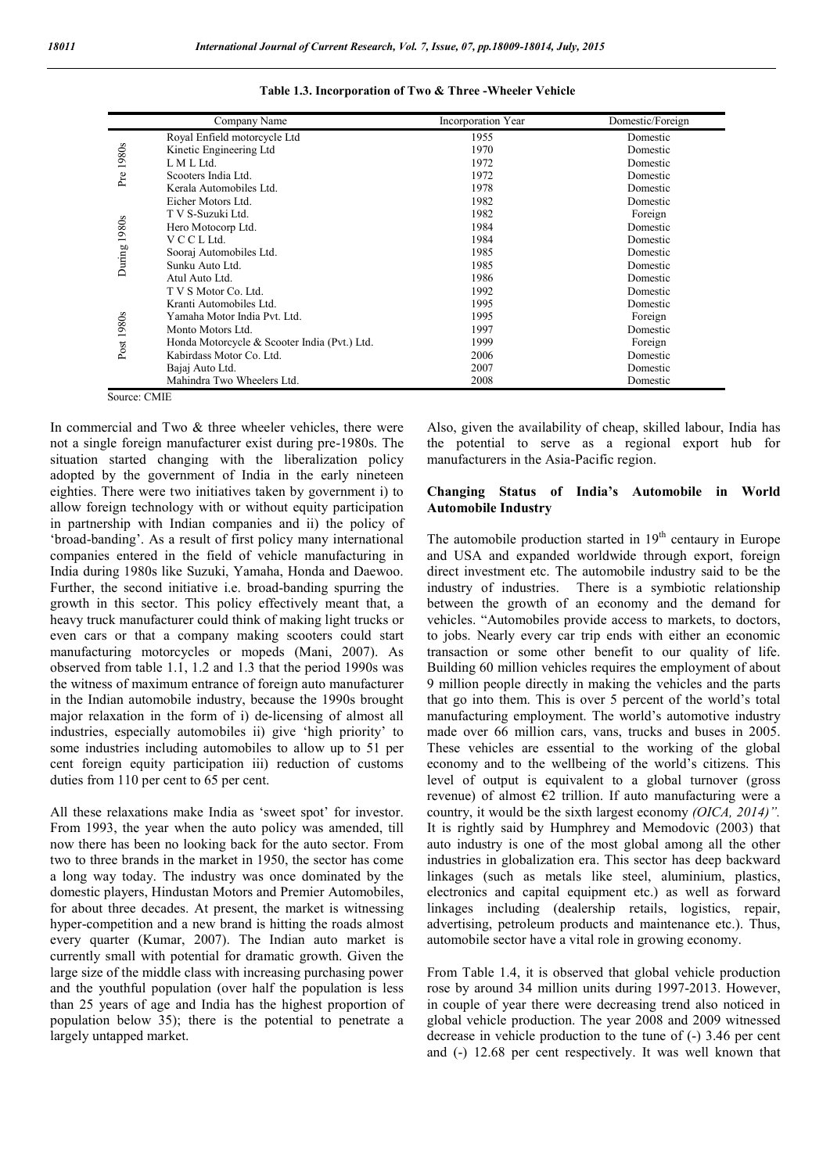|              | Company Name                                 | <b>Incorporation Year</b> | Domestic/Foreign |
|--------------|----------------------------------------------|---------------------------|------------------|
|              | Royal Enfield motorcycle Ltd                 | 1955                      | Domestic         |
| 1980s        | Kinetic Engineering Ltd                      | 1970                      | Domestic         |
|              | L M L Ltd.                                   | 1972                      | Domestic         |
| Pre          | Scooters India Ltd.                          | 1972                      | Domestic         |
|              | Kerala Automobiles Ltd.                      | 1978                      | Domestic         |
|              | Eicher Motors Ltd.                           | 1982                      | Domestic         |
|              | T V S-Suzuki Ltd.                            | 1982                      | Foreign          |
| During 1980s | Hero Motocorp Ltd.                           | 1984                      | Domestic         |
|              | V C C L Ltd.                                 | 1984                      | Domestic         |
|              | Sooraj Automobiles Ltd.                      | 1985                      | Domestic         |
|              | Sunku Auto Ltd.                              | 1985                      | Domestic         |
|              | Atul Auto Ltd.                               | 1986                      | Domestic         |
|              | T V S Motor Co. Ltd.                         | 1992                      | Domestic         |
|              | Kranti Automobiles Ltd.                      | 1995                      | Domestic         |
|              | Yamaha Motor India Pvt. Ltd.                 | 1995                      | Foreign          |
|              | Monto Motors Ltd.                            | 1997                      | Domestic         |
| Post 1980s   | Honda Motorcycle & Scooter India (Pvt.) Ltd. | 1999                      | Foreign          |
|              | Kabirdass Motor Co. Ltd.                     | 2006                      | Domestic         |
|              | Bajaj Auto Ltd.                              | 2007                      | Domestic         |
|              | Mahindra Two Wheelers Ltd.                   | 2008                      | Domestic         |

|  |  |  |  |  |  | Table 1.3. Incorporation of Two & Three - Wheeler Vehicle |  |
|--|--|--|--|--|--|-----------------------------------------------------------|--|
|--|--|--|--|--|--|-----------------------------------------------------------|--|

Source: CMIE

In commercial and Two  $\&$  three wheeler vehicles, there were not a single foreign manufacturer exist during pre-1980s. The situation started changing with the liberalization policy adopted by the government of India in the early nineteen eighties. There were two initiatives taken by government i) to allow foreign technology with or without equity participation in partnership with Indian companies and ii) the policy of 'broad-banding'. As a result of first policy many international companies entered in the field of vehicle manufacturing in India during 1980s like Suzuki, Yamaha, Honda and Daewoo. Further, the second initiative i.e. broad-banding spurring the growth in this sector. This policy effectively meant that, a heavy truck manufacturer could think of making light trucks or even cars or that a company making scooters could start manufacturing motorcycles or mopeds (Mani, 2007). As observed from table 1.1, 1.2 and 1.3 that the period 1990s was the witness of maximum entrance of foreign auto manufacturer in the Indian automobile industry, because the 1990s brought major relaxation in the form of i) de-licensing of almost all industries, especially automobiles ii) give 'high priority' to some industries including automobiles to allow up to 51 per cent foreign equity participation iii) reduction of customs duties from 110 per cent to 65 per cent.

All these relaxations make India as 'sweet spot' for investor. From 1993, the year when the auto policy was amended, till now there has been no looking back for the auto sector. From two to three brands in the market in 1950, the sector has come a long way today. The industry was once dominated by the domestic players, Hindustan Motors and Premier Automobiles, for about three decades. At present, the market is witnessing hyper-competition and a new brand is hitting the roads almost every quarter (Kumar, 2007). The Indian auto market is currently small with potential for dramatic growth. Given the large size of the middle class with increasing purchasing power and the youthful population (over half the population is less than 25 years of age and India has the highest proportion of population below 35); there is the potential to penetrate a largely untapped market.

Also, given the availability of cheap, skilled labour, India has the potential to serve as a regional export hub for manufacturers in the Asia-Pacific region.

### **Changing Status of India's Automobile in World Automobile Industry**

The automobile production started in  $19<sup>th</sup>$  centaury in Europe and USA and expanded worldwide through export, foreign direct investment etc. The automobile industry said to be the industry of industries. There is a symbiotic relationship between the growth of an economy and the demand for vehicles. "Automobiles provide access to markets, to doctors, to jobs. Nearly every car trip ends with either an economic transaction or some other benefit to our quality of life. Building 60 million vehicles requires the employment of about 9 million people directly in making the vehicles and the parts that go into them. This is over 5 percent of the world's total manufacturing employment. The world's automotive industry made over 66 million cars, vans, trucks and buses in 2005. These vehicles are essential to the working of the global economy and to the wellbeing of the world's citizens. This level of output is equivalent to a global turnover (gross revenue) of almost  $\epsilon$ 2 trillion. If auto manufacturing were a country, it would be the sixth largest economy *(OICA, 2014)".* It is rightly said by Humphrey and Memodovic (2003) that auto industry is one of the most global among all the other industries in globalization era. This sector has deep backward linkages (such as metals like steel, aluminium, plastics, electronics and capital equipment etc.) as well as forward linkages including (dealership retails, logistics, repair, advertising, petroleum products and maintenance etc.). Thus, automobile sector have a vital role in growing economy.

From Table 1.4, it is observed that global vehicle production rose by around 34 million units during 1997-2013. However, in couple of year there were decreasing trend also noticed in global vehicle production. The year 2008 and 2009 witnessed decrease in vehicle production to the tune of (-) 3.46 per cent and (-) 12.68 per cent respectively. It was well known that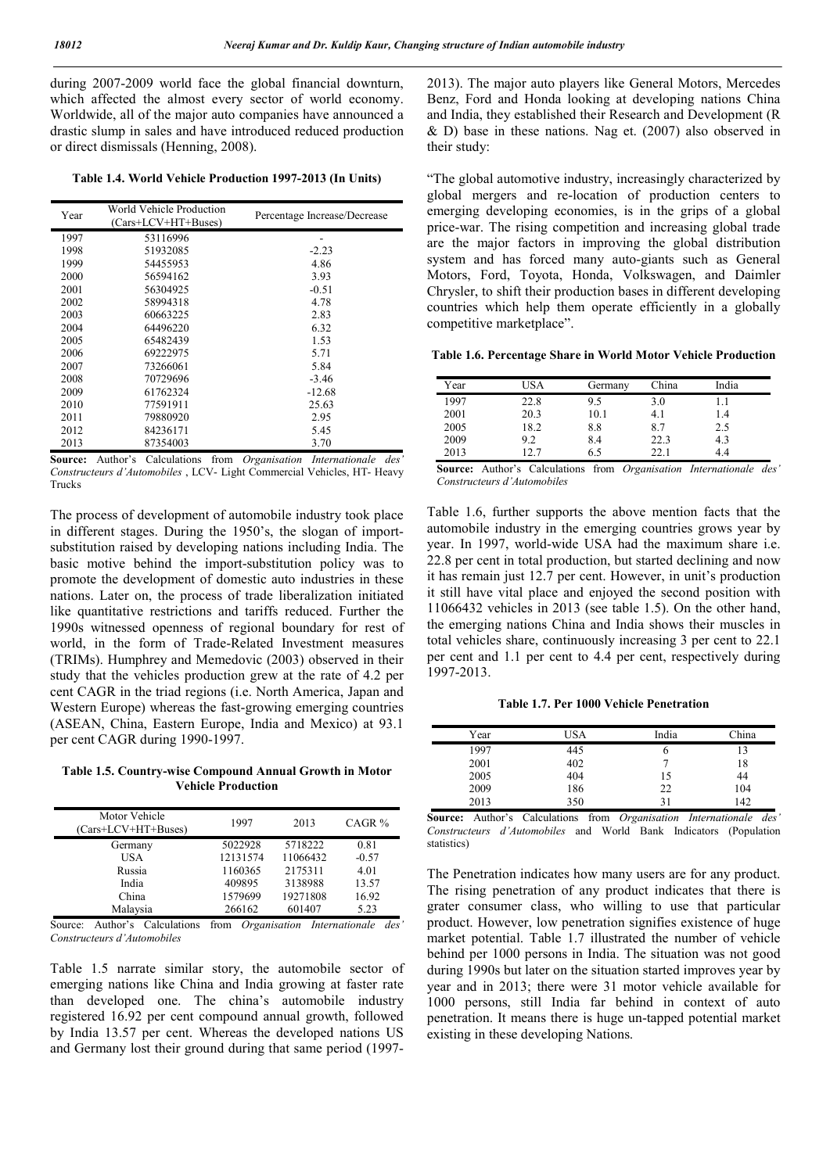during 2007-2009 world face the global financial downturn, which affected the almost every sector of world economy. Worldwide, all of the major auto companies have announced a drastic slump in sales and have introduced reduced production or direct dismissals (Henning, 2008).

**Table 1.4. World Vehicle Production 1997-2013 (In Units)**

| Year | World Vehicle Production<br>$(Cars+LCV+HT+Buses)$ | Percentage Increase/Decrease |
|------|---------------------------------------------------|------------------------------|
| 1997 | 53116996                                          |                              |
| 1998 | 51932085                                          | $-2.23$                      |
| 1999 | 54455953                                          | 4.86                         |
| 2000 | 56594162                                          | 3.93                         |
| 2001 | 56304925                                          | $-0.51$                      |
| 2002 | 58994318                                          | 4.78                         |
| 2003 | 60663225                                          | 2.83                         |
| 2004 | 64496220                                          | 6.32                         |
| 2005 | 65482439                                          | 1.53                         |
| 2006 | 69222975                                          | 5.71                         |
| 2007 | 73266061                                          | 5.84                         |
| 2008 | 70729696                                          | $-3.46$                      |
| 2009 | 61762324                                          | $-12.68$                     |
| 2010 | 77591911                                          | 25.63                        |
| 2011 | 79880920                                          | 2.95                         |
| 2012 | 84236171                                          | 5.45                         |
| 2013 | 87354003                                          | 3.70                         |

**Source:** Author's Calculations from *Organisation Internationale des' Constructeurs d'Automobiles* , LCV- Light Commercial Vehicles, HT- Heavy Trucks

The process of development of automobile industry took place in different stages. During the 1950's, the slogan of importsubstitution raised by developing nations including India. The basic motive behind the import-substitution policy was to promote the development of domestic auto industries in these nations. Later on, the process of trade liberalization initiated like quantitative restrictions and tariffs reduced. Further the 1990s witnessed openness of regional boundary for rest of world, in the form of Trade-Related Investment measures (TRIMs). Humphrey and Memedovic (2003) observed in their study that the vehicles production grew at the rate of 4.2 per cent CAGR in the triad regions (i.e. North America, Japan and Western Europe) whereas the fast-growing emerging countries (ASEAN, China, Eastern Europe, India and Mexico) at 93.1 per cent CAGR during 1990-1997.

**Table 1.5. Country-wise Compound Annual Growth in Motor Vehicle Production**

| Motor Vehicle<br>(Cars+LCV+HT+Buses) | 1997     | 2013     | CAGR $%$ |
|--------------------------------------|----------|----------|----------|
| Germany                              | 5022928  | 5718222  | 0.81     |
| <b>USA</b>                           | 12131574 | 11066432 | $-0.57$  |
| Russia                               | 1160365  | 2175311  | 4.01     |
| India                                | 409895   | 3138988  | 13.57    |
| China                                | 1579699  | 19271808 | 16.92    |
| Malaysia                             | 266162   | 601407   | 5.23     |

Source: Author's Calculations from *Organisation Internationale des' Constructeurs d'Automobiles*

Table 1.5 narrate similar story, the automobile sector of emerging nations like China and India growing at faster rate than developed one. The china's automobile industry registered 16.92 per cent compound annual growth, followed by India 13.57 per cent. Whereas the developed nations US and Germany lost their ground during that same period (19972013). The major auto players like General Motors, Mercedes Benz, Ford and Honda looking at developing nations China and India, they established their Research and Development (R & D) base in these nations. Nag et. (2007) also observed in their study:

"The global automotive industry, increasingly characterized by global mergers and re-location of production centers to emerging developing economies, is in the grips of a global price-war. The rising competition and increasing global trade are the major factors in improving the global distribution system and has forced many auto-giants such as General Motors, Ford, Toyota, Honda, Volkswagen, and Daimler Chrysler, to shift their production bases in different developing countries which help them operate efficiently in a globally competitive marketplace".

**Table 1.6. Percentage Share in World Motor Vehicle Production**

| Year | USA  | Germany | China | India |
|------|------|---------|-------|-------|
| 1997 | 22.8 | 9.5     | 3.0   |       |
| 2001 | 20.3 | 10.1    | 4.1   | 1.4   |
| 2005 | 18.2 | 8.8     | 8.7   | 2.5   |
| 2009 | 9.2  | 8.4     | 22.3  | 4.3   |
| 2013 | 197  | 6.5     | 22.1  | 44    |

**Source:** Author's Calculations from *Organisation Internationale des' Constructeurs d'Automobiles*

Table 1.6, further supports the above mention facts that the automobile industry in the emerging countries grows year by year. In 1997, world-wide USA had the maximum share i.e. 22.8 per cent in total production, but started declining and now it has remain just 12.7 per cent. However, in unit's production it still have vital place and enjoyed the second position with 11066432 vehicles in 2013 (see table 1.5). On the other hand, the emerging nations China and India shows their muscles in total vehicles share, continuously increasing 3 per cent to 22.1 per cent and 1.1 per cent to 4.4 per cent, respectively during 1997-2013.

**Table 1.7. Per 1000 Vehicle Penetration**

| Year | USA | India | China |
|------|-----|-------|-------|
| 1997 | 445 | O     | 13    |
| 2001 | 402 |       | 18    |
| 2005 | 404 | 15    | 44    |
| 2009 | 186 | 22    | 104   |
| 2013 | 350 | 31    | 142   |

**Source:** Author's Calculations from *Organisation Internationale des' Constructeurs d'Automobiles* and World Bank Indicators (Population statistics)

The Penetration indicates how many users are for any product. The rising penetration of any product indicates that there is grater consumer class, who willing to use that particular product. However, low penetration signifies existence of huge market potential. Table 1.7 illustrated the number of vehicle behind per 1000 persons in India. The situation was not good during 1990s but later on the situation started improves year by year and in 2013; there were 31 motor vehicle available for 1000 persons, still India far behind in context of auto penetration. It means there is huge un-tapped potential market existing in these developing Nations.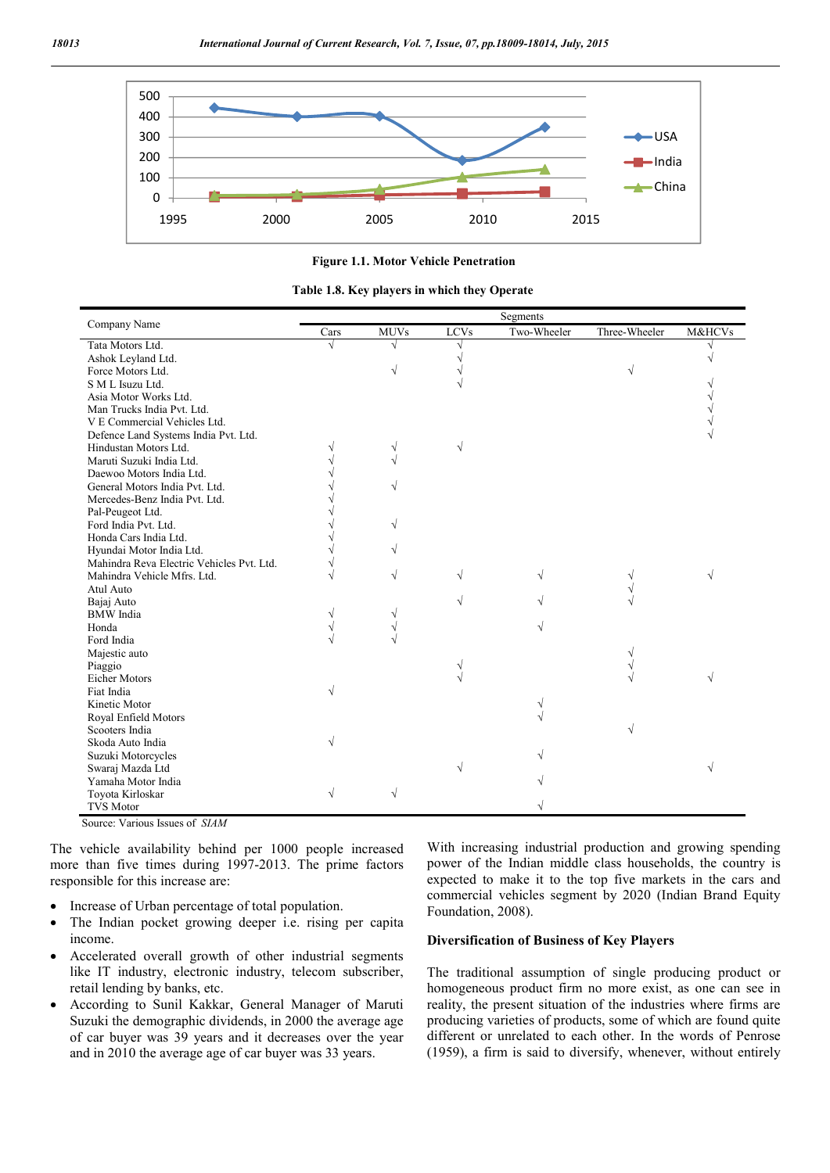

**Figure 1.1. Motor Vehicle Penetration**

**Table 1.8. Key players in which they Operate**

|                                           |      |             |             | Segments    |               |                   |
|-------------------------------------------|------|-------------|-------------|-------------|---------------|-------------------|
| Company Name                              | Cars | <b>MUVs</b> | <b>LCVs</b> | Two-Wheeler | Three-Wheeler | <b>M&amp;HCVs</b> |
| Tata Motors Ltd.                          | V    |             |             |             |               |                   |
| Ashok Leyland Ltd.                        |      |             | V           |             |               |                   |
| Force Motors Ltd.                         |      |             |             |             | V             |                   |
| S M L Isuzu Ltd.                          |      |             | V           |             |               |                   |
| Asia Motor Works Ltd.                     |      |             |             |             |               |                   |
| Man Trucks India Pvt. Ltd.                |      |             |             |             |               |                   |
| V E Commercial Vehicles Ltd.              |      |             |             |             |               |                   |
| Defence Land Systems India Pvt. Ltd.      |      |             |             |             |               |                   |
| Hindustan Motors Ltd.                     |      |             | $\sqrt{}$   |             |               |                   |
| Maruti Suzuki India Ltd.                  |      |             |             |             |               |                   |
| Daewoo Motors India Ltd.                  |      |             |             |             |               |                   |
| General Motors India Pvt. Ltd.            |      |             |             |             |               |                   |
| Mercedes-Benz India Pvt. Ltd.             |      |             |             |             |               |                   |
| Pal-Peugeot Ltd.                          |      |             |             |             |               |                   |
| Ford India Pvt. Ltd.                      |      | V           |             |             |               |                   |
| Honda Cars India Ltd.                     |      |             |             |             |               |                   |
| Hyundai Motor India Ltd.                  |      |             |             |             |               |                   |
| Mahindra Reva Electric Vehicles Pvt. Ltd. |      |             |             |             |               |                   |
| Mahindra Vehicle Mfrs. Ltd.               |      |             | V           |             |               |                   |
| Atul Auto                                 |      |             |             |             |               |                   |
| Bajaj Auto                                |      |             |             |             |               |                   |
| <b>BMW</b> India                          |      |             |             |             |               |                   |
| Honda                                     |      |             |             |             |               |                   |
| Ford India                                |      |             |             |             |               |                   |
| Majestic auto                             |      |             |             |             |               |                   |
| Piaggio                                   |      |             | V           |             |               |                   |
| Eicher Motors                             |      |             |             |             |               |                   |
| Fiat India                                |      |             |             |             |               |                   |
| Kinetic Motor                             |      |             |             |             |               |                   |
| Royal Enfield Motors                      |      |             |             |             |               |                   |
| Scooters India                            |      |             |             |             |               |                   |
| Skoda Auto India                          |      |             |             |             |               |                   |
| Suzuki Motorcycles                        |      |             |             |             |               |                   |
| Swaraj Mazda Ltd                          |      |             |             |             |               |                   |
| Yamaha Motor India                        |      |             |             |             |               |                   |
| Toyota Kirloskar                          | V    | N           |             |             |               |                   |
| <b>TVS Motor</b>                          |      |             |             |             |               |                   |

Source: Various Issues of *SIAM*

The vehicle availability behind per 1000 people increased more than five times during 1997-2013. The prime factors responsible for this increase are:

- Increase of Urban percentage of total population.
- The Indian pocket growing deeper i.e. rising per capita income.
- Accelerated overall growth of other industrial segments like IT industry, electronic industry, telecom subscriber, retail lending by banks, etc.
- According to Sunil Kakkar, General Manager of Maruti Suzuki the demographic dividends, in 2000 the average age of car buyer was 39 years and it decreases over the year and in 2010 the average age of car buyer was 33 years.

With increasing industrial production and growing spending power of the Indian middle class households, the country is expected to make it to the top five markets in the cars and commercial vehicles segment by 2020 (Indian Brand Equity Foundation, 2008).

#### **Diversification of Business of Key Players**

The traditional assumption of single producing product or homogeneous product firm no more exist, as one can see in reality, the present situation of the industries where firms are producing varieties of products, some of which are found quite different or unrelated to each other. In the words of Penrose (1959), a firm is said to diversify, whenever, without entirely